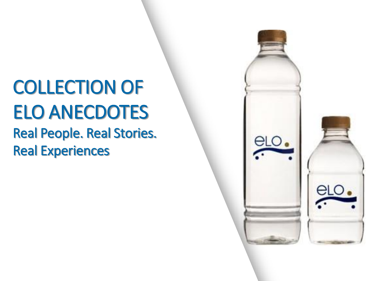# COLLECTION OF ELO ANECDOTES

Real People. Real Stories. Real Experiences

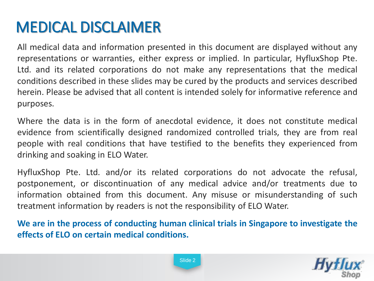### MEDICAL DISCLAIMER

All medical data and information presented in this document are displayed without any representations or warranties, either express or implied. In particular, HyfluxShop Pte. Ltd. and its related corporations do not make any representations that the medical conditions described in these slides may be cured by the products and services described herein. Please be advised that all content is intended solely for informative reference and purposes.

Where the data is in the form of anecdotal evidence, it does not constitute medical evidence from scientifically designed randomized controlled trials, they are from real people with real conditions that have testified to the benefits they experienced from drinking and soaking in ELO Water.

HyfluxShop Pte. Ltd. and/or its related corporations do not advocate the refusal, postponement, or discontinuation of any medical advice and/or treatments due to information obtained from this document. Any misuse or misunderstanding of such treatment information by readers is not the responsibility of ELO Water.

**We are in the process of conducting human clinical trials in Singapore to investigate the effects of ELO on certain medical conditions.**

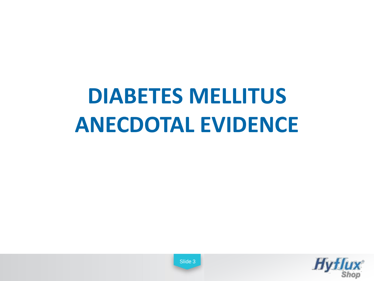## **DIABETES MELLITUS ANECDOTAL EVIDENCE**

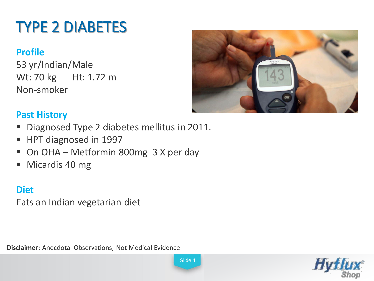### TYPE 2 DIABETES

### **Profile**

53 yr/Indian/Male Wt: 70 kg Ht: 1.72 m Non-smoker



#### **Past History**

- Diagnosed Type 2 diabetes mellitus in 2011.
- HPT diagnosed in 1997
- On OHA Metformin 800mg 3 X per day
- Micardis 40 mg

### **Diet**

Eats an Indian vegetarian diet

**Disclaimer:** Anecdotal Observations, Not Medical Evidence

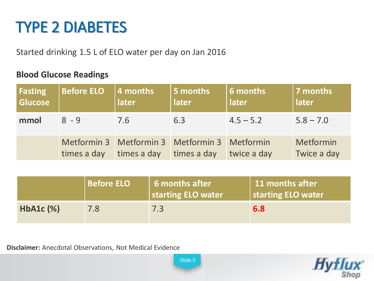### TYPE 2 DIABETES

Started drinking 1.5 L of ELO water per day on Jan 2016

#### **Blood Glucose Readings**

| Fasting<br><b>Glucose</b> | <b>Before ELO</b>          | 4 months<br>later                                | 5 months<br>later | $\vert$ 6 months<br>later | 7 months<br>later        |
|---------------------------|----------------------------|--------------------------------------------------|-------------------|---------------------------|--------------------------|
| mmol                      | $8 - 9$                    | 7.6                                              | 6.3               | $4.5 - 5.2$               | $5.8 - 7.0$              |
|                           | Metformin 3<br>times a day | Metformin 3 Metformin 3 Metformin<br>times a day | times a day       | twice a day               | Metformin<br>Twice a day |

|                | <b>Before ELO</b> | 6 months after<br>starting ELO water | 11 months after<br>starting ELO water |
|----------------|-------------------|--------------------------------------|---------------------------------------|
| $HbA1c$ $(\%)$ | 7.8               | 7.3                                  | 6.8                                   |

**Disclaimer:** Anecdotal Observations, Not Medical Evidence

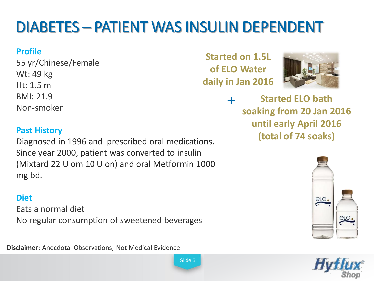### DIABETES – PATIENT WAS INSULIN DEPENDENT

#### **Profile**

55 yr/Chinese/Female Wt: 49 kg Ht: 1.5 m BMI: 21.9 Non-smoker

#### **Past History**

Diagnosed in 1996 and prescribed oral medications. Since year 2000, patient was converted to insulin (Mixtard 22 U om 10 U on) and oral Metformin 1000 mg bd.

#### **Diet**

Eats a normal diet No regular consumption of sweetened beverages

**Disclaimer:** Anecdotal Observations, Not Medical Evidence

**Started on 1.5L of ELO Water daily in Jan 2016**



+ **Started ELO bath soaking from 20 Jan 2016 until early April 2016 (total of 74 soaks)**